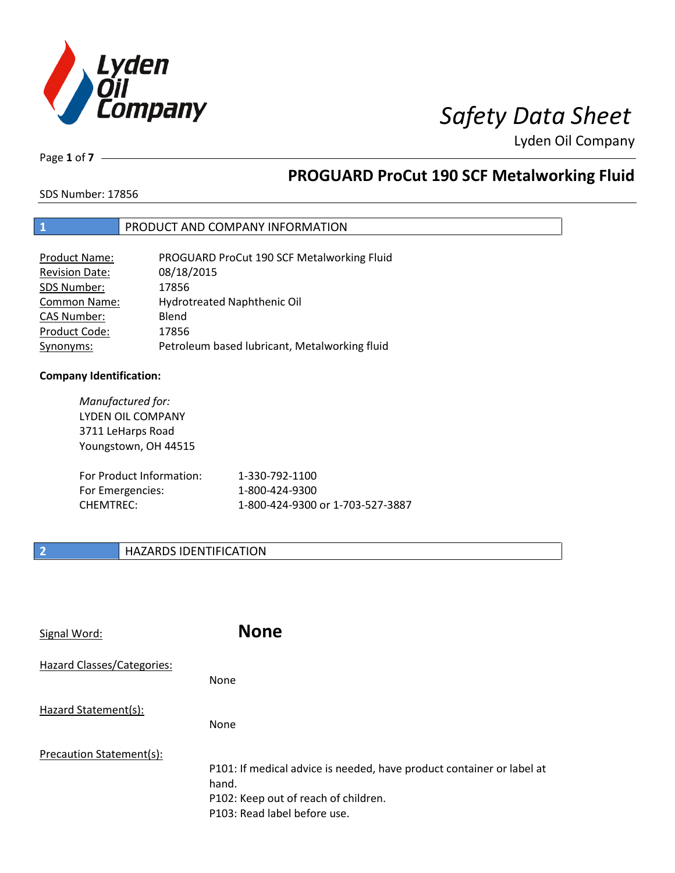

Page **1** of **7**

## **PROGUARD ProCut 190 SCF Metalworking Fluid**

SDS Number: 17856

### **1** PRODUCT AND COMPANY INFORMATION

| <b>Product Name:</b>  | PROGUARD ProCut 190 SCF Metalworking Fluid    |
|-----------------------|-----------------------------------------------|
| <b>Revision Date:</b> | 08/18/2015                                    |
| SDS Number:           | 17856                                         |
| Common Name:          | Hydrotreated Naphthenic Oil                   |
| <b>CAS Number:</b>    | Blend                                         |
| Product Code:         | 17856                                         |
| Synonyms:             | Petroleum based lubricant, Metalworking fluid |

### **Company Identification:**

*Manufactured for:* LYDEN OIL COMPANY 3711 LeHarps Road Youngstown, OH 44515 For Product Information: 1-330-792-1100 For Emergencies: 1-800-424-9300 CHEMTREC: 1-800-424-9300 or 1-703-527-3887

### **2 HAZARDS IDENTIFICATION**

| Signal Word:               | <b>None</b>                                                           |
|----------------------------|-----------------------------------------------------------------------|
| Hazard Classes/Categories: | None                                                                  |
| Hazard Statement(s):       | None                                                                  |
| Precaution Statement(s):   |                                                                       |
|                            | P101: If medical advice is needed, have product container or label at |
|                            | hand.                                                                 |
|                            | P102: Keep out of reach of children.                                  |
|                            | P103: Read label before use.                                          |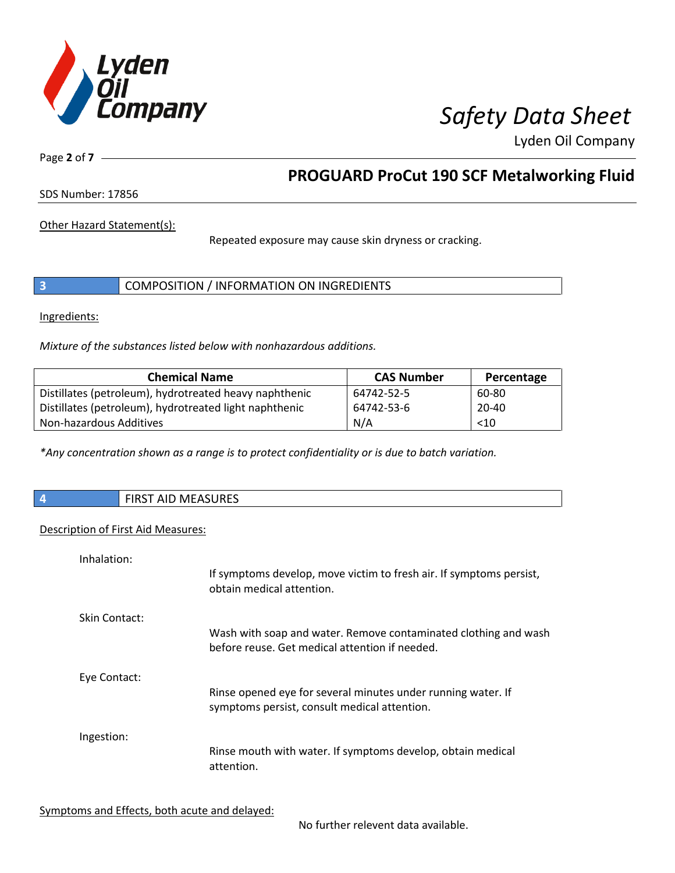

Page **2** of **7**

## **PROGUARD ProCut 190 SCF Metalworking Fluid**

SDS Number: 17856

Other Hazard Statement(s):

Repeated exposure may cause skin dryness or cracking.

Ingredients:

*Mixture of the substances listed below with nonhazardous additions.*

| <b>Chemical Name</b>                                   | <b>CAS Number</b> | Percentage |
|--------------------------------------------------------|-------------------|------------|
| Distillates (petroleum), hydrotreated heavy naphthenic | 64742-52-5        | 60-80      |
| Distillates (petroleum), hydrotreated light naphthenic | 64742-53-6        | $20 - 40$  |
| Non-hazardous Additives                                | N/A               | < 10       |

*\*Any concentration shown as a range is to protect confidentiality or is due to batch variation.*

| <b>FIRST AID MEASURES</b> |
|---------------------------|
|                           |

### Description of First Aid Measures:

| Inhalation:   | If symptoms develop, move victim to fresh air. If symptoms persist,<br>obtain medical attention.                  |
|---------------|-------------------------------------------------------------------------------------------------------------------|
| Skin Contact: | Wash with soap and water. Remove contaminated clothing and wash<br>before reuse. Get medical attention if needed. |
| Eye Contact:  | Rinse opened eye for several minutes under running water. If<br>symptoms persist, consult medical attention.      |
| Ingestion:    | Rinse mouth with water. If symptoms develop, obtain medical<br>attention.                                         |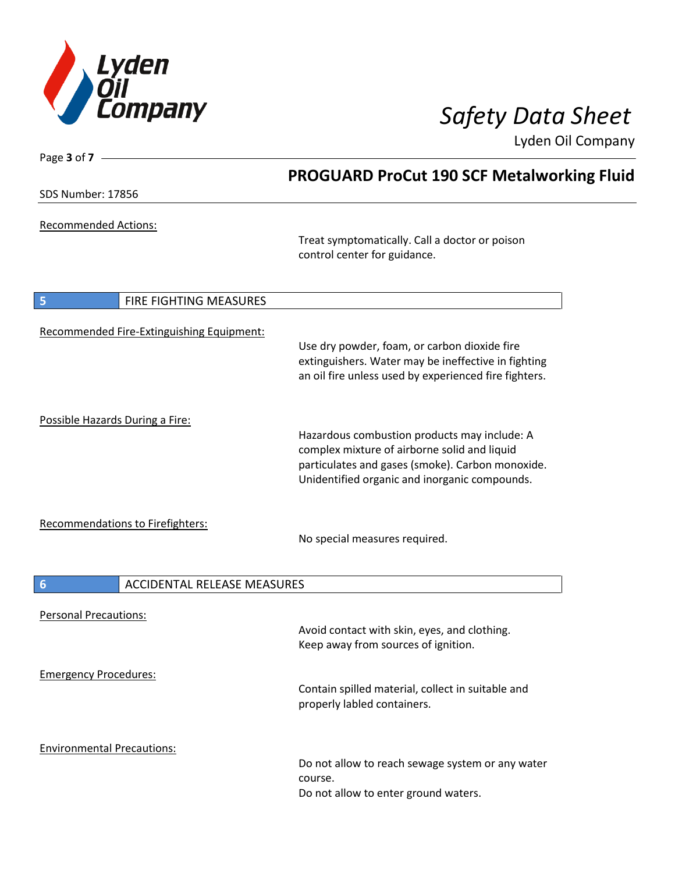

| Page 3 of 7 -                                  |                                                                                                                                                                                                   |
|------------------------------------------------|---------------------------------------------------------------------------------------------------------------------------------------------------------------------------------------------------|
|                                                | <b>PROGUARD ProCut 190 SCF Metalworking Fluid</b>                                                                                                                                                 |
| <b>SDS Number: 17856</b>                       |                                                                                                                                                                                                   |
| <b>Recommended Actions:</b>                    | Treat symptomatically. Call a doctor or poison<br>control center for guidance.                                                                                                                    |
| 5<br>FIRE FIGHTING MEASURES                    |                                                                                                                                                                                                   |
| Recommended Fire-Extinguishing Equipment:      | Use dry powder, foam, or carbon dioxide fire<br>extinguishers. Water may be ineffective in fighting<br>an oil fire unless used by experienced fire fighters.                                      |
| Possible Hazards During a Fire:                | Hazardous combustion products may include: A<br>complex mixture of airborne solid and liquid<br>particulates and gases (smoke). Carbon monoxide.<br>Unidentified organic and inorganic compounds. |
| Recommendations to Firefighters:               | No special measures required.                                                                                                                                                                     |
| ACCIDENTAL RELEASE MEASURES<br>$6\phantom{1}6$ |                                                                                                                                                                                                   |
| <b>Personal Precautions:</b>                   | Avoid contact with skin, eyes, and clothing.<br>Keep away from sources of ignition.                                                                                                               |
| <b>Emergency Procedures:</b>                   | Contain spilled material, collect in suitable and<br>properly labled containers.                                                                                                                  |
| <b>Environmental Precautions:</b>              | Do not allow to reach sewage system or any water<br>course.<br>Do not allow to enter ground waters.                                                                                               |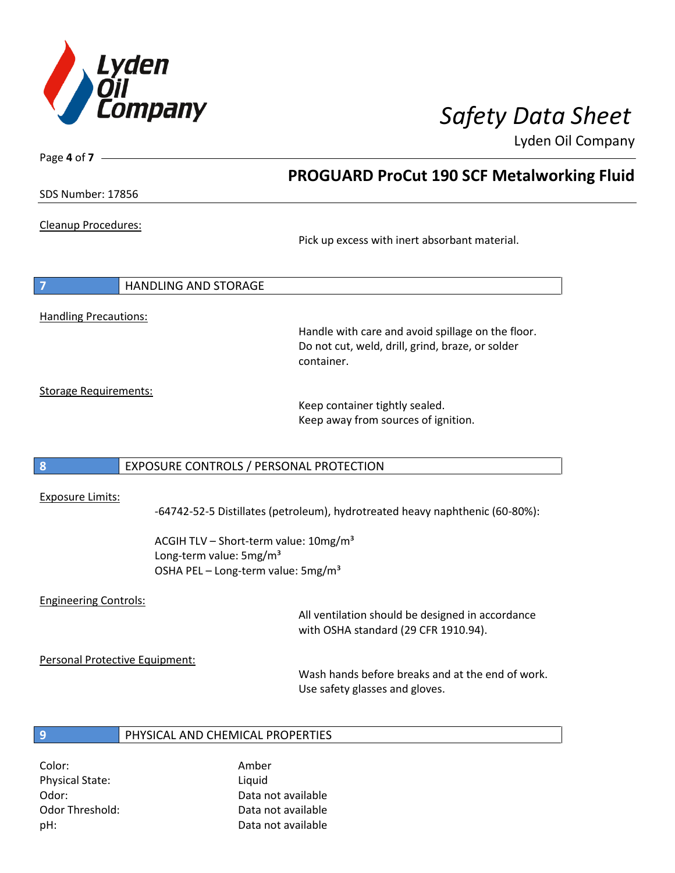

SDS Number: 17856

Page **4** of **7**

Cleanup Procedures:

Pick up excess with inert absorbant material.

**PROGUARD ProCut 190 SCF Metalworking Fluid**

**7** HANDLING AND STORAGE

Handling Precautions:

Handle with care and avoid spillage on the floor. Do not cut, weld, drill, grind, braze, or solder container.

Storage Requirements:

Keep container tightly sealed. Keep away from sources of ignition.

### **8** EXPOSURE CONTROLS / PERSONAL PROTECTION

### Exposure Limits:

-64742-52-5 Distillates (petroleum), hydrotreated heavy naphthenic (60-80%):

ACGIH TLV - Short-term value: 10mg/m<sup>3</sup> Long-term value: 5mg/m<sup>3</sup> OSHA PEL – Long-term value: 5mg/m<sup>3</sup>

### Engineering Controls:

All ventilation should be designed in accordance with OSHA standard (29 CFR 1910.94).

Personal Protective Equipment:

Wash hands before breaks and at the end of work. Use safety glasses and gloves.

### **9** PHYSICAL AND CHEMICAL PROPERTIES

Color: Amber Physical State: Liquid

Odor: Data not available Odor Threshold: Data not available pH: Data not available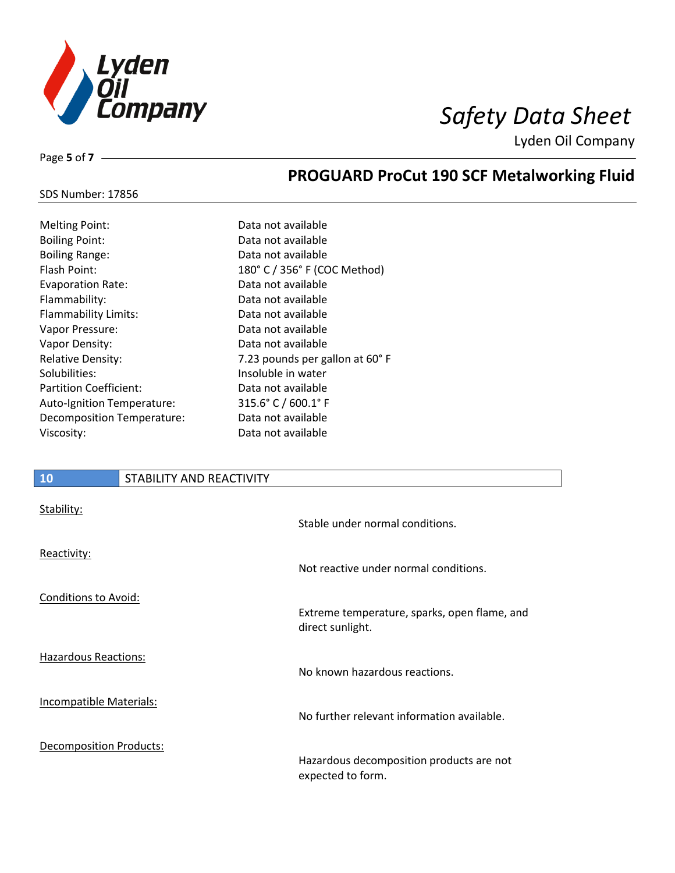

Page **5** of **7**

## **PROGUARD ProCut 190 SCF Metalworking Fluid**

| <b>SDS Number: 17856</b> |  |
|--------------------------|--|
|--------------------------|--|

| <b>Melting Point:</b>         |
|-------------------------------|
| Boiling Point:                |
| <b>Boiling Range:</b>         |
| Flash Point:                  |
| <b>Evaporation Rate:</b>      |
| Flammability:                 |
| Flammability Limits:          |
| Vapor Pressure:               |
| Vapor Density:                |
| <b>Relative Density:</b>      |
| Solubilities:                 |
| <b>Partition Coefficient:</b> |
| Auto-Ignition Temperature:    |
| Decomposition Temperature:    |
| Viscosity:                    |

Data not available Data not available Data not available 180° C / 356° F (COC Method) Data not available Data not available Data not available Data not available Data not available 7.23 pounds per gallon at 60° F Insoluble in water Data not available  $315.6°$  C / 600.1° F Data not available Data not available

### **10** STABILITY AND REACTIVITY

| Stability:                     | Stable under normal conditions.                                  |
|--------------------------------|------------------------------------------------------------------|
| Reactivity:                    | Not reactive under normal conditions.                            |
| Conditions to Avoid:           |                                                                  |
|                                | Extreme temperature, sparks, open flame, and<br>direct sunlight. |
| Hazardous Reactions:           |                                                                  |
|                                | No known hazardous reactions.                                    |
| <b>Incompatible Materials:</b> |                                                                  |
|                                | No further relevant information available.                       |
| Decomposition Products:        |                                                                  |
|                                | Hazardous decomposition products are not<br>expected to form.    |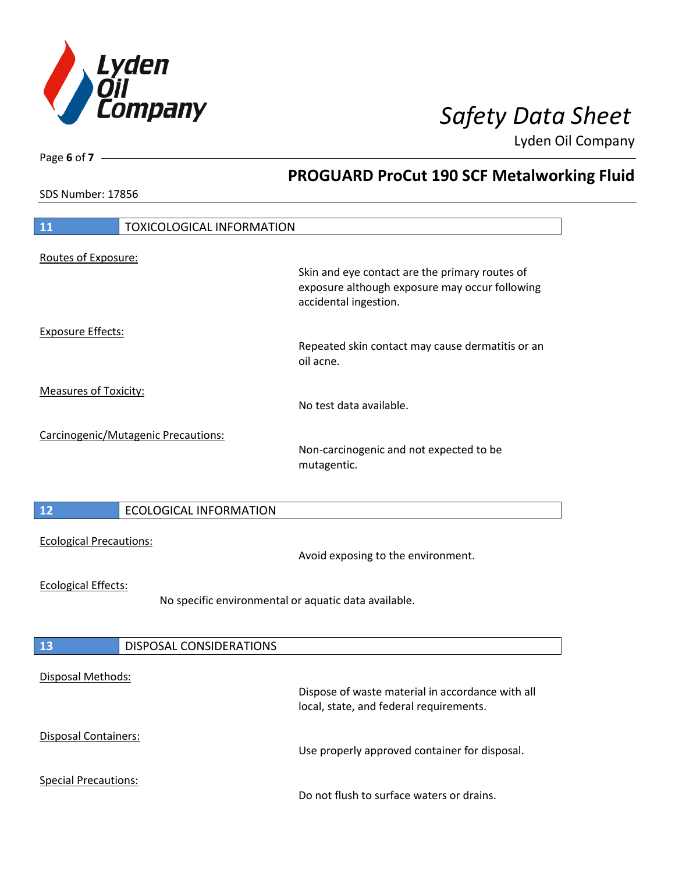

**PROGUARD ProCut 190 SCF Metalworking Fluid**

Lyden Oil Company

SDS Number: 17856

Page **6** of **7**

# **11** TOXICOLOGICAL INFORMATION Routes of Exposure: Skin and eye contact are the primary routes of exposure although exposure may occur following accidental ingestion. Exposure Effects: Repeated skin contact may cause dermatitis or an oil acne. Measures of Toxicity: No test data available. Carcinogenic/Mutagenic Precautions: Non-carcinogenic and not expected to be mutagentic. **12** ECOLOGICAL INFORMATION Ecological Precautions: Avoid exposing to the environment. Ecological Effects: No specific environmental or aquatic data available. **13** DISPOSAL CONSIDERATIONS Disposal Methods: Dispose of waste material in accordance with all local, state, and federal requirements. Disposal Containers: Use properly approved container for disposal. Special Precautions: Do not flush to surface waters or drains.